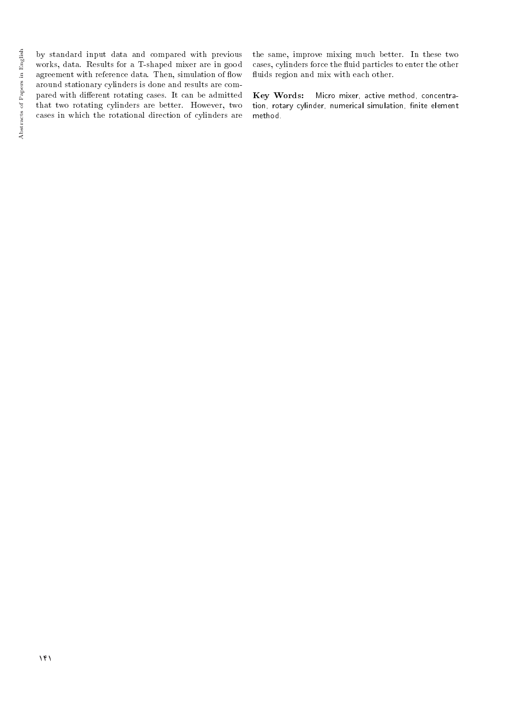by standard input data and compared with previous works, data. Results for a T-shaped mixer are in good agreement with reference data. Then, simulation of flow around stationary cylinders is done and results are compared with different rotating cases. It can be admitted that two rotating cylinders are better. However, two cases in which the rotational direction of cylinders are

the same, improve mixing much better. In these two cases, cylinders force the fluid particles to enter the other fluids region and mix with each other.

Key Words: Micro mixer, active method, concentration, rotary cylinder, numerical simulation, finite element method.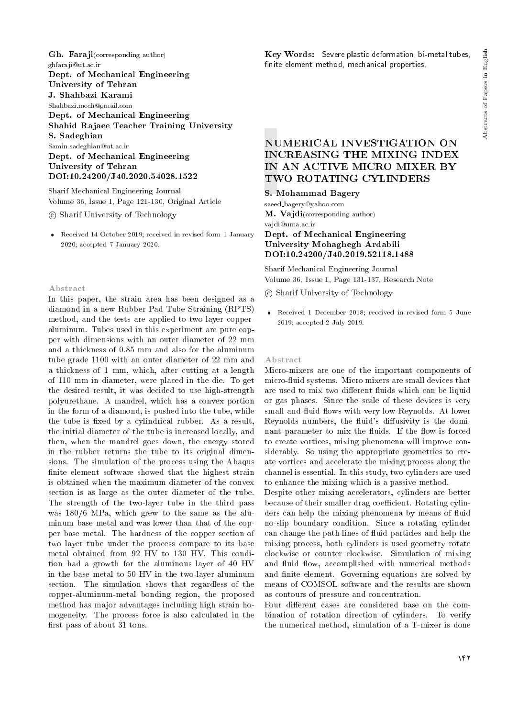Gh. Faraji(corresponding author) ghfaraji@ut.ac.ir Dept. of Mechanical Engineering University of Tehran J. Shahbazi Karami Shahbazi.mech@gmail.com Dept. of Mechanical Engineering Shahid Rajaee Teacher Training University S. Sadeghian Samin.sadeghian@ut.ac.ir Dept. of Mechanical Engineering

University of Tehran DOI:10.24200/J40.2020.54028.1522

Sharif Mechanical Engineering Journal Volume 36, Issue 1, Page 121-130, Original Article

c Sharif University of Technology

 Received 14 October 2019; received in revised form 1 January 2020; accepted 7 January 2020.

#### Abstract

In this paper, the strain area has been designed as a diamond in a new Rubber Pad Tube Straining (RPTS) method, and the tests are applied to two layer copperaluminum. Tubes used in this experiment are pure copper with dimensions with an outer diameter of 22 mm and a thickness of 0.85 mm and also for the aluminum tube grade 1100 with an outer diameter of 22 mm and a thickness of 1 mm, which, after cutting at a length of 110 mm in diameter, were placed in the die. To get the desired result, it was decided to use high-strength polyurethane. A mandrel, which has a convex portion in the form of a diamond, is pushed into the tube, while the tube is fixed by a cylindrical rubber. As a result, the initial diameter of the tube is increased locally, and then, when the mandrel goes down, the energy stored in the rubber returns the tube to its original dimensions. The simulation of the process using the Abaqus finite element software showed that the highest strain is obtained when the maximum diameter of the convex section is as large as the outer diameter of the tube. The strength of the two-layer tube in the third pass was 180/6 MPa, which grew to the same as the aluminum base metal and was lower than that of the copper base metal. The hardness of the copper section of two layer tube under the process compare to its base metal obtained from 92 HV to 130 HV. This condition had a growth for the aluminous layer of 40 HV in the base metal to 50 HV in the two-layer aluminum section. The simulation shows that regardless of the copper-aluminum-metal bonding region, the proposed method has major advantages including high strain homogeneity. The process force is also calculated in the first pass of about 31 tons.

Key Words: Severe plastic deformation, bi-metal tubes, finite element method, mechanical properties.

## NUMERICAL INVESTIGATION ON INCREASING THE MIXING INDEX IN AN ACTIVE MICRO MIXER BY TWO ROTATING CYLINDERS

## S. Mohammad Bagery

saeed bagery@yahoo.com M. Vajdi(corresponding author) vajdi@uma.ac.ir Dept. of Mechanical Engineering University Mohaghegh Ardabili DOI:10.24200/J40.2019.52118.1488

Sharif Mechanical Engineering Journal Volume 36, Issue 1, Page 131-137, Research Note

c Sharif University of Technology

 Received 1 December 2018; received in revised form 5 June 2019; accepted 2 July 2019.

#### Abstract

Micro-mixers are one of the important components of micro-fluid systems. Micro mixers are small devices that are used to mix two different fluids which can be liquid or gas phases. Since the scale of these devices is very small and fluid flows with very low Reynolds. At lower Reynolds numbers, the fluid's diffusivity is the dominant parameter to mix the fluids. If the flow is forced to create vortices, mixing phenomena will improve considerably. So using the appropriate geometries to create vortices and accelerate the mixing process along the channel is essential. In this study, two cylinders are used to enhance the mixing which is a passive method.

Despite other mixing accelerators, cylinders are better because of their smaller drag coefficient. Rotating cylinders can help the mixing phenomena by means of fluid no-slip boundary condition. Since a rotating cylinder can change the path lines of fluid particles and help the mixing process, both cylinders is used geometry rotate clockwise or counter clockwise. Simulation of mixing and fluid flow, accomplished with numerical methods and finite element. Governing equations are solved by means of COMSOL software and the results are shown as contours of pressure and concentration.

Four different cases are considered base on the combination of rotation direction of cylinders. To verify the numerical method, simulation of a T-mixer is done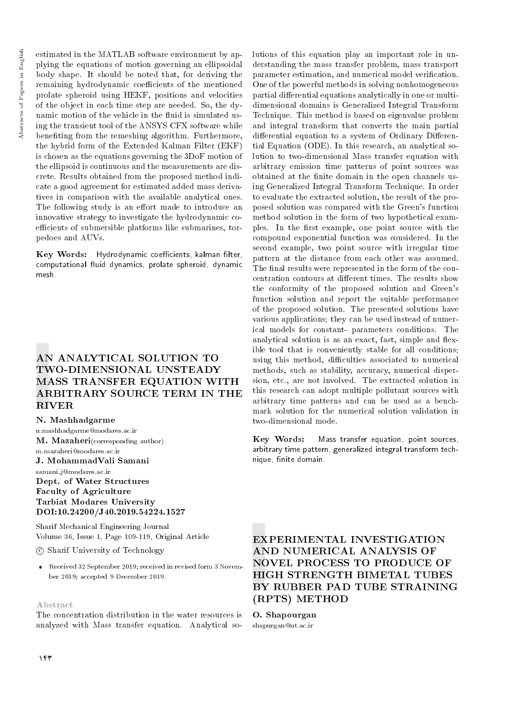estimated in the MATLAB software environment by applying the equations of motion governing an ellipsoidal body shape. It should be noted that, for deriving the remaining hydrodynamic coefficients of the mentioned prolate spheroid using HEKF, positions and velocities of the object in each time step are needed. So, the dynamic motion of the vehicle in the fluid is simulated using the transient tool of the ANSYS CFX software while beneting from the remeshing algorithm. Furthermore, the hybrid form of the Extended Kalman Filter (EKF) is chosen as the equations governing the 3DoF motion of the ellipsoid is continuous and the measurements are discrete. Results obtained from the proposed method indicate a good agreement for estimated added mass derivatives in comparison with the available analytical ones. The following study is an effort made to introduce an innovative strategy to investigate the hydrodynamic coefficients of submersible platforms like submarines, torpedoes and AUVs.

Key Words: Hydrodynamic coefficients, kalman filter, computational fluid dynamics, prolate spheroid, dynamic mesh.

# AN ANALYTICAL SOLUTION TO TWO-DIMENSIONAL UNSTEADY MASS TRANSFER EQUATION WITH ARBITRARY SOURCE TERM IN THE RIVER

#### N. Mashhadgarme

n.mashhadgarme@modares.ac.ir M. Mazaheri(corresponding author) m.mazaheri@modares.ac.ir

## J. MohammadVali Samani

samani j@modares.ac.ir Dept. of Water Structures Faculty of Agriculture Tarbiat Modares University DOI:10.24200/J40.2019.54224.1527

Sharif Mechanical Engineering Journal Volume 36, Issue 1, Page 109-119, Original Article

c Sharif University of Technology

 Received 32 September 2019; received in revised form 3 November 2019; accepted 9 December 2019.

#### Abstract

The concentration distribution in the water resources is analyzed with Mass transfer equation. Analytical solutions of this equation play an important role in understanding the mass transfer problem, mass transport parameter estimation, and numerical model verification. One of the powerful methods in solving nonhomogeneous partial differential equations analytically in one or multidimensional domains is Generalized Integral Transform Technique. This method is based on eigenvalue problem and integral transform that converts the main partial differential equation to a system of Ordinary Differential Equation (ODE). In this research, an analytical solution to two-dimensional Mass transfer equation with arbitrary emission time patterns of point sources was obtained at the finite domain in the open channels using Generalized Integral Transform Technique. In order to evaluate the extracted solution, the result of the proposed solution was compared with the Green's function method solution in the form of two hypothetical examples. In the first example, one point source with the compound exponential function was considered. In the second example, two point source with irregular time pattern at the distance from each other was assumed. The final results were represented in the form of the concentration contours at different times. The results show the conformity of the proposed solution and Green's function solution and report the suitable performance of the proposed solution. The presented solutions have various applications; they can be used instead of numerical models for constant- parameters conditions. The analytical solution is as an exact, fast, simple and flexible tool that is conveniently stable for all conditions; using this method, difficulties associated to numerical methods, such as stability, accuracy, numerical dispersion, etc., are not involved. The extracted solution in this research can adopt multiple pollutant sources with arbitrary time patterns and can be used as a benchmark solution for the numerical solution validation in two-dimensional mode.

Key Words: Mass transfer equation, point sources, arbitrary time pattern, generalized integral transform technique, finite domain.

## EXPERIMENTAL INVESTIGATION AND NUMERICAL ANALYSIS OF NOVEL PROCESS TO PRODUCE OF HIGH STRENGTH BIMETAL TUBES BY RUBBER PAD TUBE STRAINING (RPTS) METHOD

# O. Shapourgan

shapurgan@ut.ac.ir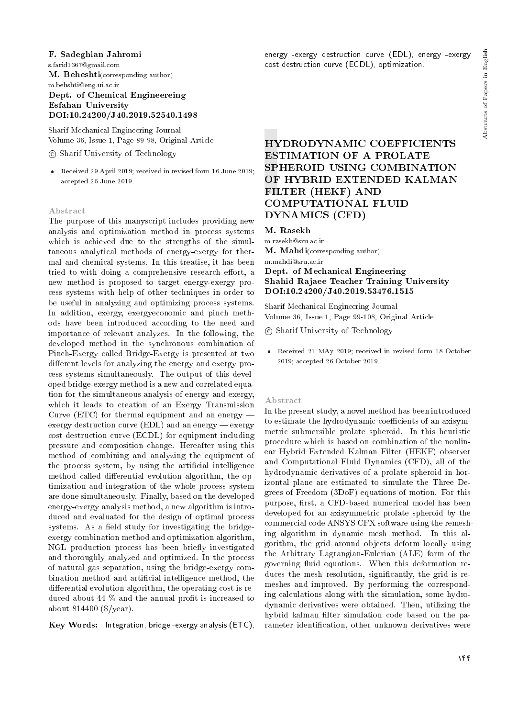#### F. Sadeghian Jahromi

s.farid1367@gmail.com M. Beheshti(corresponding author) m.behshti@eng.ui.ac.ir Dept. of Chemical Engineereing

## Esfahan University DOI:10.24200/J40.2019.52540.1498

Sharif Mechanical Engineering Journal Volume 36, Issue 1, Page 89-98, Original Article

## c Sharif University of Technology

 Received 29 April 2019; received in revised form 16 June 2019; accepted 26 June 2019.

#### Abstract

The purpose of this manyscript includes providing new analysis and optimization method in process systems which is achieved due to the strengths of the simultaneous analytical methods of energy-exergy for thermal and chemical systems. In this treatise, it has been tried to with doing a comprehensive research effort, a new method is proposed to target energy-exergy process systems with help of other techniques in order to be useful in analyzing and optimizing process systems. In addition, exergy, exergyeconomic and pinch methods have been introduced according to the need and importance of relevant analyzes. In the following, the developed method in the synchronous combination of Pinch-Exergy called Bridge-Exergy is presented at two different levels for analyzing the energy and exergy process systems simultaneously. The output of this developed bridge-exergy method is a new and correlated equation for the simultaneous analysis of energy and exergy, which it leads to creation of an Exergy Transmission Curve (ETC) for thermal equipment and an energy  $$ exergy destruction curve  $(EDL)$  and an energy — exergy cost destruction curve (ECDL) for equipment including pressure and composition change. Hereafter using this method of combining and analyzing the equipment of the process system, by using the articial intelligence method called differential evolution algorithm, the optimization and integration of the whole process system are done simultaneously. Finally, based on the developed energy-exergy analysis method, a new algorithm is introduced and evaluated for the design of optimal process systems. As a field study for investigating the bridgeexergy combination method and optimization algorithm, NGL production process has been briefly investigated and thoroughly analyzed and optimized. In the process of natural gas separation, using the bridge-exergy combination method and articial intelligence method, the differential evolution algorithm, the operating cost is reduced about 44 % and the annual profit is increased to about 814400 (\$/year).

Key Words: Integration, bridge -exergy analysis (ETC),

energy -exergy destruction curve (EDL), energy -exergy cost destruction curve (ECDL), optimization.

# HYDRODYNAMIC COEFFICIENTS ESTIMATION OF A PROLATE SPHEROID USING COMBINATION OF HYBRID EXTENDED KALMAN FILTER (HEKF) AND COMPUTATIONAL FLUID DYNAMICS (CFD)

### M. Rasekh

m.rasekh@sru.ac.ir

M. Mahdi(corresponding author)

## m.mahdi@sru.ac.ir Dept. of Mechanical Engineering Shahid Rajaee Teacher Training University DOI:10.24200/J40.2019.53476.1515

Sharif Mechanical Engineering Journal Volume 36, Issue 1, Page 99-108, Original Article

c Sharif University of Technology

 Received 21 MAy 2019; received in revised form 18 October 2019; accepted 26 October 2019.

#### Abstract

In the present study, a novel method has been introduced to estimate the hydrodynamic coefficients of an axisymmetric submersible prolate spheroid. In this heuristic procedure which is based on combination of the nonlinear Hybrid Extended Kalman Filter (HEKF) observer and Computational Fluid Dynamics (CFD), all of the hydrodynamic derivatives of a prolate spheroid in horizontal plane are estimated to simulate the Three Degrees of Freedom (3DoF) equations of motion. For this purpose, first, a CFD-based numerical model has been developed for an axisymmetric prolate spheroid by the commercial code ANSYS CFX software using the remeshing algorithm in dynamic mesh method. In this algorithm, the grid around objects deform locally using the Arbitrary Lagrangian-Eulerian (ALE) form of the governing fluid equations. When this deformation reduces the mesh resolution, significantly, the grid is remeshes and improved. By performing the corresponding calculations along with the simulation, some hydrodynamic derivatives were obtained. Then, utilizing the hybrid kalman filter simulation code based on the parameter identication, other unknown derivatives were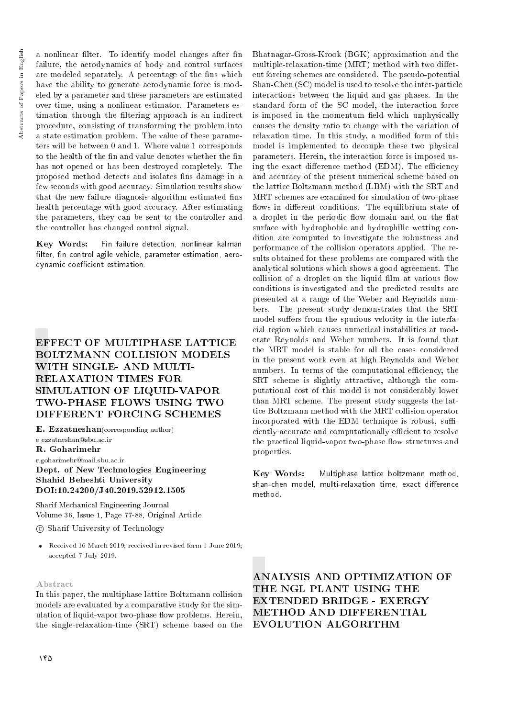a nonlinear filter. To identify model changes after fin failure, the aerodynamics of body and control surfaces are modeled separately. A percentage of the fins which have the ability to generate aerodynamic force is modeled by a parameter and these parameters are estimated over time, using a nonlinear estimator. Parameters estimation through the filtering approach is an indirect procedure, consisting of transforming the problem into a state estimation problem. The value of these parameters will be between 0 and 1. Where value 1 corresponds to the health of the fin and value denotes whether the fin has not opened or has been destroyed completely. The proposed method detects and isolates fins damage in a few seconds with good accuracy. Simulation results show that the new failure diagnosis algorithm estimated fins health percentage with good accuracy. After estimating the parameters, they can be sent to the controller and the controller has changed control signal.

Key Words: Fin failure detection, nonlinear kalman filter, fin control agile vehicle, parameter estimation, aerodynamic coefficient estimation.

# EFFECT OF MULTIPHASE LATTICE BOLTZMANN COLLISION MODELS WITH SINGLE- AND MULTI-RELAXATION TIMES FOR SIMULATION OF LIQUID-VAPOR TWO-PHASE FLOWS USING TWO DIFFERENT FORCING SCHEMES

E. Ezzatneshan(corresponding author) e ezzatneshan@sbu.ac.ir

R. Goharimehr

r.goharimehr@mail.sbu.ac.ir Dept. of New Technologies Engineering Shahid Beheshti University DOI:10.24200/J40.2019.52912.1505

Sharif Mechanical Engineering Journal Volume 36, Issue 1, Page 77-88, Original Article

c Sharif University of Technology

 Received 16 March 2019; received in revised form 1 June 2019; accepted 7 July 2019.

## Abstract

In this paper, the multiphase lattice Boltzmann collision models are evaluated by a comparative study for the simulation of liquid-vapor two-phase flow problems. Herein, the single-relaxation-time (SRT) scheme based on the Bhatnagar-Gross-Krook (BGK) approximation and the multiple-relaxation-time  $(MRT)$  method with two different forcing schemes are considered. The pseudo-potential Shan-Chen (SC) model is used to resolve the inter-particle interactions between the liquid and gas phases. In the standard form of the SC model, the interaction force is imposed in the momentum field which unphysically causes the density ratio to change with the variation of relaxation time. In this study, a modified form of this model is implemented to decouple these two physical parameters. Herein, the interaction force is imposed using the exact difference method (EDM). The efficiency and accuracy of the present numerical scheme based on the lattice Boltzmann method (LBM) with the SRT and MRT schemes are examined for simulation of two-phase flows in different conditions. The equilibrium state of a droplet in the periodic flow domain and on the flat surface with hydrophobic and hydrophilic wetting condition are computed to investigate the robustness and performance of the collision operators applied. The results obtained for these problems are compared with the analytical solutions which shows a good agreement. The collision of a droplet on the liquid film at various flow conditions is investigated and the predicted results are presented at a range of the Weber and Reynolds numbers. The present study demonstrates that the SRT model suffers from the spurious velocity in the interfacial region which causes numerical instabilities at moderate Reynolds and Weber numbers. It is found that the MRT model is stable for all the cases considered in the present work even at high Reynolds and Weber numbers. In terms of the computational efficiency, the SRT scheme is slightly attractive, although the computational cost of this model is not considerably lower than MRT scheme. The present study suggests the lattice Boltzmann method with the MRT collision operator incorporated with the EDM technique is robust, sufficiently accurate and computationally efficient to resolve the practical liquid-vapor two-phase flow structures and properties.

Key Words: Multiphase lattice boltzmann method, shan-chen model, multi-relaxation time, exact difference method.

ANALYSIS AND OPTIMIZATION OF THE NGL PLANT USING THE EXTENDED BRIDGE - EXERGY METHOD AND DIFFERENTIAL EVOLUTION ALGORITHM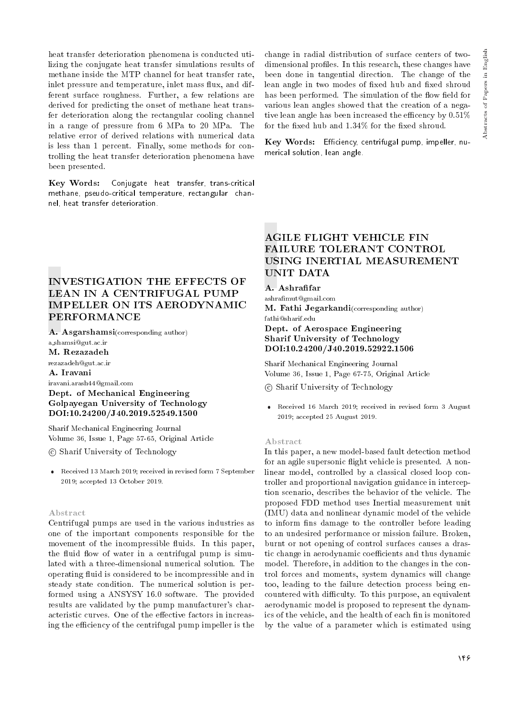heat transfer deterioration phenomena is conducted utilizing the conjugate heat transfer simulations results of methane inside the MTP channel for heat transfer rate, inlet pressure and temperature, inlet mass flux, and different surface roughness. Further, a few relations are derived for predicting the onset of methane heat transfer deterioration along the rectangular cooling channel in a range of pressure from 6 MPa to 20 MPa. The relative error of derived relations with numerical data is less than 1 percent. Finally, some methods for controlling the heat transfer deterioration phenomena have been presented.

Key Words: Conjugate heat transfer, trans-critical methane, pseudo-critical temperature, rectangular channel, heat transfer deterioration.

change in radial distribution of surface centers of twodimensional profiles. In this research, these changes have been done in tangential direction. The change of the lean angle in two modes of fixed hub and fixed shroud has been performed. The simulation of the flow field for various lean angles showed that the creation of a negative lean angle has been increased the efficency by  $0.51\%$ for the fixed hub and  $1.34\%$  for the fixed shroud.

Key Words: Efficiency, centrifugal pump, impeller, numerical solution, lean angle.

# INVESTIGATION THE EFFECTS OF LEAN IN A CENTRIFUGAL PUMP IMPELLER ON ITS AERODYNAMIC PERFORMANCE

A. Asgarshamsi(corresponding author)

a shamsi@gut.ac.ir

M. Rezazadeh

rezazadeh@gut.ac.ir

A. Iravani

iravani.arash44@gmail.com Dept. of Mechanical Engineering Golpayegan University of Technology DOI:10.24200/J40.2019.52549.1500

Sharif Mechanical Engineering Journal Volume 36, Issue 1, Page 57-65, Original Article

c Sharif University of Technology

 Received 13 March 2019; received in revised form 7 September 2019; accepted 13 October 2019.

#### Abstract

Centrifugal pumps are used in the various industries as one of the important components responsible for the movement of the incompressible fluids. In this paper, the fluid flow of water in a centrifugal pump is simulated with a three-dimensional numerical solution. The operating fluid is considered to be incompressible and in steady state condition. The numerical solution is performed using a ANSYSY 16.0 software. The provided results are validated by the pump manufacturer's characteristic curves. One of the effective factors in increasing the efficiency of the centrifugal pump impeller is the

# AGILE FLIGHT VEHICLE FIN FAILURE TOLERANT CONTROL USING INERTIAL MEASUREMENT UNIT DATA

## A. Ashrafar

ashramut@gmail.com M. Fathi Jegarkandi(corresponding author) fathi@sharif.edu

## Dept. of Aerospace Engineering Sharif University of Technology DOI:10.24200/J40.2019.52922.1506

Sharif Mechanical Engineering Journal Volume 36, Issue 1, Page 67-75, Original Article

c Sharif University of Technology

 Received 16 March 2019; received in revised form 3 August 2019; accepted 25 August 2019.

#### Abstract

In this paper, a new model-based fault detection method for an agile supersonic flight vehicle is presented. A nonlinear model, controlled by a classical closed loop controller and proportional navigation guidance in interception scenario, describes the behavior of the vehicle. The proposed FDD method uses Inertial measurement unit (IMU) data and nonlinear dynamic model of the vehicle to inform fins damage to the controller before leading to an undesired performance or mission failure. Broken, burnt or not opening of control surfaces causes a drastic change in aerodynamic coefficients and thus dynamic model. Therefore, in addition to the changes in the control forces and moments, system dynamics will change too, leading to the failure detection process being encountered with difficulty. To this purpose, an equivalent aerodynamic model is proposed to represent the dynamics of the vehicle, and the health of each fin is monitored by the value of a parameter which is estimated using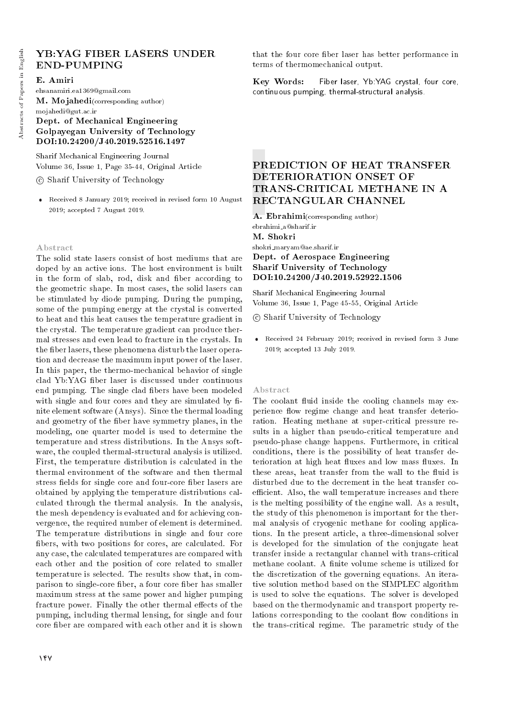## YB:YAG FIBER LASERS UNDER END-PUMPING

#### E. Amiri

ehsanamiri.ea1369@gmail.com M. Mojahedi(corresponding author)

## mojahedi@gut.ac.ir Dept. of Mechanical Engineering Golpayegan University of Technology DOI:10.24200/J40.2019.52516.1497

Sharif Mechanical Engineering Journal Volume 36, Issue 1, Page 35-44, Original Article

c Sharif University of Technology

 Received 8 January 2019; received in revised form 10 August 2019; accepted 7 August 2019.

#### Abstract

The solid state lasers consist of host mediums that are doped by an active ions. The host environment is built in the form of slab, rod, disk and fiber according to the geometric shape. In most cases, the solid lasers can be stimulated by diode pumping. During the pumping, some of the pumping energy at the crystal is converted to heat and this heat causes the temperature gradient in the crystal. The temperature gradient can produce thermal stresses and even lead to fracture in the crystals. In the fiber lasers, these phenomena disturb the laser operation and decrease the maximum input power of the laser. In this paper, the thermo-mechanical behavior of single clad Yb:YAG ber laser is discussed under continuous end pumping. The single clad bers have been modeled with single and four cores and they are simulated by finite element software (Ansys). Since the thermal loading and geometry of the fiber have symmetry planes, in the modeling, one quarter model is used to determine the temperature and stress distributions. In the Ansys software, the coupled thermal-structural analysis is utilized. First, the temperature distribution is calculated in the thermal environment of the software and then thermal stress fields for single core and four-core fiber lasers are obtained by applying the temperature distributions calculated through the thermal analysis. In the analysis, the mesh dependency is evaluated and for achieving convergence, the required number of element is determined. The temperature distributions in single and four core bers, with two positions for cores, are calculated. For any case, the calculated temperatures are compared with each other and the position of core related to smaller temperature is selected. The results show that, in comparison to single-core fiber, a four core fiber has smaller maximum stress at the same power and higher pumping fracture power. Finally the other thermal effects of the pumping, including thermal lensing, for single and four core fiber are compared with each other and it is shown

that the four core ber laser has better performance in terms of thermomechanical output.

Key Words: Fiber laser, Yb:YAG crystal, four core, continuous pumping, thermal-structural analysis.

# PREDICTION OF HEAT TRANSFER DETERIORATION ONSET OF TRANS-CRITICAL METHANE IN A RECTANGULAR CHANNEL

A. Ebrahimi(corresponding author) ebrahimi a@sharif.ir M. Shokri shokri maryam@ae.sharif.ir Dept. of Aerospace Engineering

# Sharif University of Technology DOI:10.24200/J40.2019.52922.1506

Sharif Mechanical Engineering Journal Volume 36, Issue 1, Page 45-55, Original Article

c Sharif University of Technology

 Received 24 February 2019; received in revised form 3 June 2019; accepted 13 July 2019.

#### Abstract

The coolant fluid inside the cooling channels may experience flow regime change and heat transfer deterioration. Heating methane at super-critical pressure results in a higher than pseudo-critical temperature and pseudo-phase change happens. Furthermore, in critical conditions, there is the possibility of heat transfer deterioration at high heat fluxes and low mass fluxes. In these areas, heat transfer from the wall to the fluid is disturbed due to the decrement in the heat transfer coefficient. Also, the wall temperature increases and there is the melting possibility of the engine wall. As a result, the study of this phenomenon is important for the thermal analysis of cryogenic methane for cooling applications. In the present article, a three-dimensional solver is developed for the simulation of the conjugate heat transfer inside a rectangular channel with trans-critical methane coolant. A finite volume scheme is utilized for the discretization of the governing equations. An iterative solution method based on the SIMPLEC algorithm is used to solve the equations. The solver is developed based on the thermodynamic and transport property relations corresponding to the coolant flow conditions in the trans-critical regime. The parametric study of the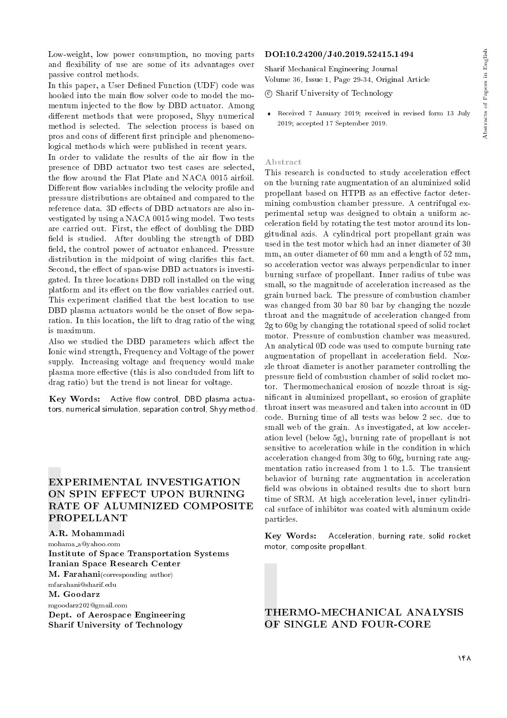Low-weight, low power consumption, no moving parts and flexibility of use are some of its advantages over passive control methods.

In this paper, a User Defined Function (UDF) code was hooked into the main flow solver code to model the momentum injected to the flow by DBD actuator. Among different methods that were proposed, Shyy numerical method is selected. The selection process is based on pros and cons of different first principle and phenomenological methods which were published in recent years.

In order to validate the results of the air flow in the presence of DBD actuator two test cases are selected, the flow around the Flat Plate and NACA 0015 airfoil. Different flow variables including the velocity profile and pressure distributions are obtained and compared to the reference data. 3D effects of DBD actuators are also investigated by using a NACA 0015 wing model. Two tests are carried out. First, the effect of doubling the DBD field is studied. After doubling the strength of DBD field, the control power of actuator enhanced. Pressure distribution in the midpoint of wing clarifies this fact. Second, the effect of span-wise DBD actuators is investigated. In three locations DBD roll installed on the wing platform and its effect on the flow variables carried out. This experiment claried that the best location to use DBD plasma actuators would be the onset of flow separation. In this location, the lift to drag ratio of the wing is maximum.

Also we studied the DBD parameters which affect the Ionic wind strength, Frequency and Voltage of the power supply. Increasing voltage and frequency would make plasma more effective (this is also concluded from lift to drag ratio) but the trend is not linear for voltage.

Key Words: Active flow control, DBD plasma actuators, numerical simulation, separation control, Shyy method.

# EXPERIMENTAL INVESTIGATION ON SPIN EFFECT UPON BURNING RATE OF ALUMINIZED COMPOSITE PROPELLANT

A.R. Mohammadi mohama a@yahoo.com Institute of Space Transportation Systems Iranian Space Research Center M. Farahani(corresponding author) mfarahani@sharif.edu M. Goodarz mgoodarz202@gmail.com Dept. of Aerospace Engineering Sharif University of Technology

#### DOI:10.24200/J40.2019.52415.1494

Sharif Mechanical Engineering Journal Volume 36, Issue 1, Page 29-34, Original Article

c Sharif University of Technology

 Received 7 January 2019; received in revised form 13 July 2019; accepted 17 September 2019.

#### Abstract

This research is conducted to study acceleration effect on the burning rate augmentation of an aluminized solid propellant based on HTPB as an effective factor determining combustion chamber pressure. A centrifugal experimental setup was designed to obtain a uniform acceleration field by rotating the test motor around its longitudinal axis. A cylindrical port propellant grain was used in the test motor which had an inner diameter of 30 mm, an outer diameter of 60 mm and a length of 52 mm, so acceleration vector was always perpendicular to inner burning surface of propellant. Inner radius of tube was small, so the magnitude of acceleration increased as the grain burned back. The pressure of combustion chamber was changed from 30 bar 80 bar by changing the nozzle throat and the magnitude of acceleration changed from 2g to 60g by changing the rotational speed of solid rocket motor. Pressure of combustion chamber was measured. An analytical 0D code was used to compute burning rate augmentation of propellant in acceleration field. Nozzle throat diameter is another parameter controlling the pressure field of combustion chamber of solid rocket motor. Thermomechanical erosion of nozzle throat is signicant in aluminized propellant, so erosion of graphite throat insert was measured and taken into account in 0D code. Burning time of all tests was below 2 sec. due to small web of the grain. As investigated, at low acceleration level (below 5g), burning rate of propellant is not sensitive to acceleration while in the condition in which acceleration changed from 30g to 60g, burning rate augmentation ratio increased from 1 to 1.5. The transient behavior of burning rate augmentation in acceleration field was obvious in obtained results due to short burn time of SRM. At high acceleration level, inner cylindrical surface of inhibitor was coated with aluminum oxide particles.

Key Words: Acceleration, burning rate, solid rocket motor, composite propellant.

## THERMO-MECHANICAL ANALYSIS OF SINGLE AND FOUR-CORE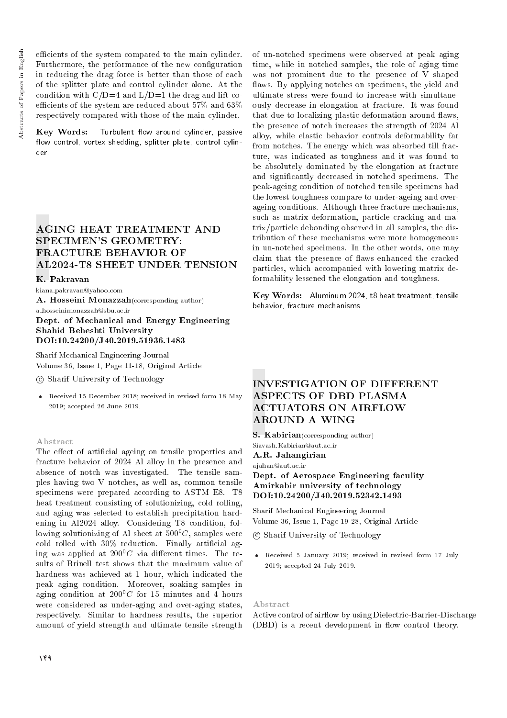efficients of the system compared to the main cylinder. Furthermore, the performance of the new conguration in reducing the drag force is better than those of each of the splitter plate and control cylinder alone. At the condition with  $C/D=4$  and  $L/D=1$  the drag and lift coefficients of the system are reduced about  $57\%$  and  $63\%$ respectively compared with those of the main cylinder.

Key Words: Turbulent flow around cylinder, passive flow control, vortex shedding, splitter plate, control cylinder.

# AGING HEAT TREATMENT AND SPECIMEN'S GEOMETRY: FRACTURE BEHAVIOR OF AL2024-T8 SHEET UNDER TENSION

#### K. Pakravan

kiana.pakravan@yahoo.com

A. Hosseini Monazzah(corresponding author)

## a hosseinimonazzah@sbu.ac.ir Dept. of Mechanical and Energy Engineering Shahid Beheshti University DOI:10.24200/J40.2019.51936.1483

Sharif Mechanical Engineering Journal Volume 36, Issue 1, Page 11-18, Original Article

- c Sharif University of Technology
- Received 15 December 2018; received in revised form 18 May 2019; accepted 26 June 2019.

#### Abstract

The effect of artificial ageing on tensile properties and fracture behavior of 2024 Al alloy in the presence and absence of notch was investigated. The tensile samples having two V notches, as well as, common tensile specimens were prepared according to ASTM E8. T8 heat treatment consisting of solutionizing, cold rolling, and aging was selected to establish precipitation hardening in Al2024 alloy. Considering T8 condition, following solutionizing of Al sheet at  $500^{\circ}$ C, samples were  $\text{cold}$  rolled with 30% reduction. Finally artificial aging was applied at  $200^0C$  via different times. The results of Brinell test shows that the maximum value of hardness was achieved at 1 hour, which indicated the peak aging condition. Moreover, soaking samples in aging condition at  $200^{\circ}$ C for 15 minutes and 4 hours were considered as under-aging and over-aging states, respectively. Similar to hardness results, the superior amount of yield strength and ultimate tensile strength

of un-notched specimens were observed at peak aging time, while in notched samples, the role of aging time was not prominent due to the presence of V shaped flaws. By applying notches on specimens, the yield and ultimate stress were found to increase with simultaneously decrease in elongation at fracture. It was found that due to localizing plastic deformation around flaws, the presence of notch increases the strength of 2024 Al alloy, while elastic behavior controls deformability far from notches. The energy which was absorbed till fracture, was indicated as toughness and it was found to be absolutely dominated by the elongation at fracture and signicantly decreased in notched specimens. The peak-ageing condition of notched tensile specimens had the lowest toughness compare to under-ageing and overageing conditions. Although three fracture mechanisms, such as matrix deformation, particle cracking and matrix/particle debonding observed in all samples, the distribution of these mechanisms were more homogeneous in un-notched specimens. In the other words, one may claim that the presence of flaws enhanced the cracked particles, which accompanied with lowering matrix deformability lessened the elongation and toughness.

Key Words: Aluminum 2024, t8 heat treatment, tensile behavior, fracture mechanisms.

# INVESTIGATION OF DIFFERENT ASPECTS OF DBD PLASMA ACTUATORS ON AIRFLOW AROUND A WING

S. Kabirian(corresponding author) Siavash.Kabirian@aut.ac.ir A.R. Jahangirian

ajahan@aut.ac.ir

Dept. of Aerospace Engineering faculity Amirkabir university of technology DOI:10.24200/J40.2019.52342.1493

Sharif Mechanical Engineering Journal Volume 36, Issue 1, Page 19-28, Original Article

c Sharif University of Technology

 Received 5 January 2019; received in revised form 17 July 2019; accepted 24 July 2019.

#### Abstract

Active control of airflow by using Dielectric-Barrier-Discharge (DBD) is a recent development in flow control theory.